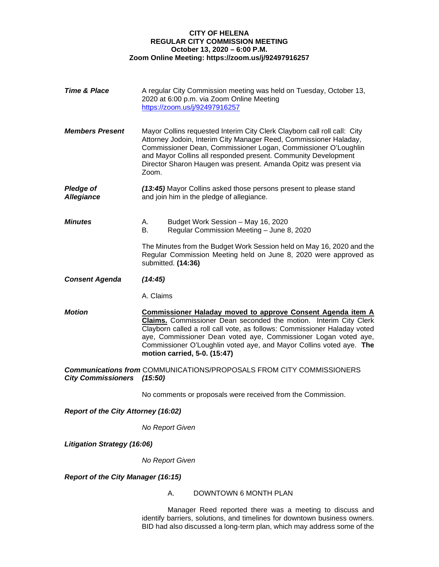## **CITY OF HELENA REGULAR CITY COMMISSION MEETING October 13, 2020 – 6:00 P.M. Zoom Online Meeting: https://zoom.us/j/92497916257**

| <b>Time &amp; Place</b>                   | A regular City Commission meeting was held on Tuesday, October 13,<br>2020 at 6:00 p.m. via Zoom Online Meeting<br>https://zoom.us/j/92497916257                                                                                                                                                                                                                                              |  |
|-------------------------------------------|-----------------------------------------------------------------------------------------------------------------------------------------------------------------------------------------------------------------------------------------------------------------------------------------------------------------------------------------------------------------------------------------------|--|
| <b>Members Present</b>                    | Mayor Collins requested Interim City Clerk Clayborn call roll call: City<br>Attorney Jodoin, Interim City Manager Reed, Commissioner Haladay,<br>Commissioner Dean, Commissioner Logan, Commissioner O'Loughlin<br>and Mayor Collins all responded present. Community Development<br>Director Sharon Haugen was present. Amanda Opitz was present via<br>Zoom.                                |  |
| <b>Pledge of</b><br><b>Allegiance</b>     | (13:45) Mayor Collins asked those persons present to please stand<br>and join him in the pledge of allegiance.                                                                                                                                                                                                                                                                                |  |
| <b>Minutes</b>                            | А.<br>Budget Work Session - May 16, 2020<br>Regular Commission Meeting - June 8, 2020<br>В.                                                                                                                                                                                                                                                                                                   |  |
|                                           | The Minutes from the Budget Work Session held on May 16, 2020 and the<br>Regular Commission Meeting held on June 8, 2020 were approved as<br>submitted. (14:36)                                                                                                                                                                                                                               |  |
| <b>Consent Agenda</b>                     | (14:45)                                                                                                                                                                                                                                                                                                                                                                                       |  |
|                                           | A. Claims                                                                                                                                                                                                                                                                                                                                                                                     |  |
| <b>Motion</b>                             | <b>Commissioner Haladay moved to approve Consent Agenda item A</b><br>Claims. Commissioner Dean seconded the motion. Interim City Clerk<br>Clayborn called a roll call vote, as follows: Commissioner Haladay voted<br>aye, Commissioner Dean voted aye, Commissioner Logan voted aye,<br>Commissioner O'Loughlin voted aye, and Mayor Collins voted aye. The<br>motion carried, 5-0. (15:47) |  |
| <b>City Commissioners</b>                 | <b>Communications from COMMUNICATIONS/PROPOSALS FROM CITY COMMISSIONERS</b><br>(15:50)                                                                                                                                                                                                                                                                                                        |  |
|                                           | No comments or proposals were received from the Commission.                                                                                                                                                                                                                                                                                                                                   |  |
| Report of the City Attorney (16:02)       |                                                                                                                                                                                                                                                                                                                                                                                               |  |
|                                           | No Report Given                                                                                                                                                                                                                                                                                                                                                                               |  |
| <b>Litigation Strategy (16:06)</b>        |                                                                                                                                                                                                                                                                                                                                                                                               |  |
|                                           | No Report Given                                                                                                                                                                                                                                                                                                                                                                               |  |
| <b>Report of the City Manager (16:15)</b> |                                                                                                                                                                                                                                                                                                                                                                                               |  |
|                                           | DOWNTOWN 6 MONTH PLAN<br>Α.                                                                                                                                                                                                                                                                                                                                                                   |  |

Manager Reed reported there was a meeting to discuss and identify barriers, solutions, and timelines for downtown business owners. BID had also discussed a long-term plan, which may address some of the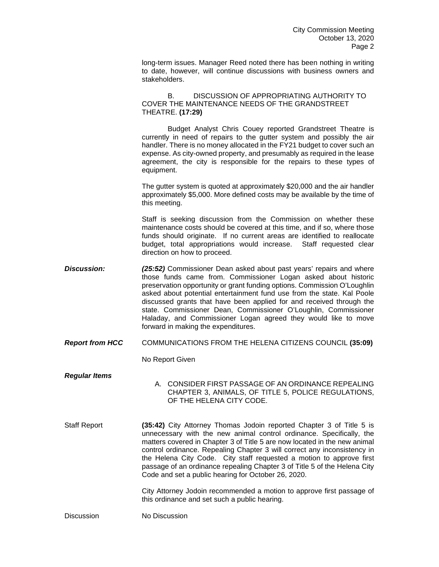long-term issues. Manager Reed noted there has been nothing in writing to date, however, will continue discussions with business owners and stakeholders.

B. DISCUSSION OF APPROPRIATING AUTHORITY TO COVER THE MAINTENANCE NEEDS OF THE GRANDSTREET THEATRE. **(17:29)**

Budget Analyst Chris Couey reported Grandstreet Theatre is currently in need of repairs to the gutter system and possibly the air handler. There is no money allocated in the FY21 budget to cover such an expense. As city-owned property, and presumably as required in the lease agreement, the city is responsible for the repairs to these types of equipment.

The gutter system is quoted at approximately \$20,000 and the air handler approximately \$5,000. More defined costs may be available by the time of this meeting.

Staff is seeking discussion from the Commission on whether these maintenance costs should be covered at this time, and if so, where those funds should originate. If no current areas are identified to reallocate budget, total appropriations would increase. Staff requested clear direction on how to proceed.

**Discussion:** (25:52) Commissioner Dean asked about past years' repairs and where those funds came from. Commissioner Logan asked about historic preservation opportunity or grant funding options. Commission O'Loughlin asked about potential entertainment fund use from the state. Kal Poole discussed grants that have been applied for and received through the state. Commissioner Dean, Commissioner O'Loughlin, Commissioner Haladay, and Commissioner Logan agreed they would like to move forward in making the expenditures.

*Report from HCC* COMMUNICATIONS FROM THE HELENA CITIZENS COUNCIL **(35:09)**

No Report Given

- *Regular Items*  A. CONSIDER FIRST PASSAGE OF AN ORDINANCE REPEALING CHAPTER 3, ANIMALS, OF TITLE 5, POLICE REGULATIONS, OF THE HELENA CITY CODE.
- Staff Report **(35:42)** City Attorney Thomas Jodoin reported Chapter 3 of Title 5 is unnecessary with the new animal control ordinance. Specifically, the matters covered in Chapter 3 of Title 5 are now located in the new animal control ordinance. Repealing Chapter 3 will correct any inconsistency in the Helena City Code. City staff requested a motion to approve first passage of an ordinance repealing Chapter 3 of Title 5 of the Helena City Code and set a public hearing for October 26, 2020.

City Attorney Jodoin recommended a motion to approve first passage of this ordinance and set such a public hearing.

Discussion No Discussion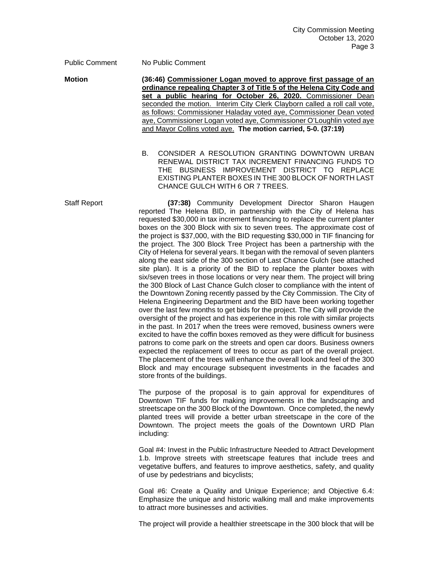Public Comment No Public Comment

**Motion (36:46) Commissioner Logan moved to approve first passage of an ordinance repealing Chapter 3 of Title 5 of the Helena City Code and set a public hearing for October 26, 2020.** Commissioner Dean seconded the motion. Interim City Clerk Clayborn called a roll call vote, as follows: Commissioner Haladay voted aye, Commissioner Dean voted aye, Commissioner Logan voted aye, Commissioner O'Loughlin voted aye and Mayor Collins voted aye. **The motion carried, 5-0. (37:19)**

> B. CONSIDER A RESOLUTION GRANTING DOWNTOWN URBAN RENEWAL DISTRICT TAX INCREMENT FINANCING FUNDS TO THE BUSINESS IMPROVEMENT DISTRICT TO REPLACE EXISTING PLANTER BOXES IN THE 300 BLOCK OF NORTH LAST CHANCE GULCH WITH 6 OR 7 TREES.

Staff Report **(37:38)** Community Development Director Sharon Haugen reported The Helena BID, in partnership with the City of Helena has requested \$30,000 in tax increment financing to replace the current planter boxes on the 300 Block with six to seven trees. The approximate cost of the project is \$37,000, with the BID requesting \$30,000 in TIF financing for the project. The 300 Block Tree Project has been a partnership with the City of Helena for several years. It began with the removal of seven planters along the east side of the 300 section of Last Chance Gulch (see attached site plan). It is a priority of the BID to replace the planter boxes with six/seven trees in those locations or very near them. The project will bring the 300 Block of Last Chance Gulch closer to compliance with the intent of the Downtown Zoning recently passed by the City Commission. The City of Helena Engineering Department and the BID have been working together over the last few months to get bids for the project. The City will provide the oversight of the project and has experience in this role with similar projects in the past. In 2017 when the trees were removed, business owners were excited to have the coffin boxes removed as they were difficult for business patrons to come park on the streets and open car doors. Business owners expected the replacement of trees to occur as part of the overall project. The placement of the trees will enhance the overall look and feel of the 300 Block and may encourage subsequent investments in the facades and store fronts of the buildings.

> The purpose of the proposal is to gain approval for expenditures of Downtown TIF funds for making improvements in the landscaping and streetscape on the 300 Block of the Downtown. Once completed, the newly planted trees will provide a better urban streetscape in the core of the Downtown. The project meets the goals of the Downtown URD Plan including:

> Goal #4: Invest in the Public Infrastructure Needed to Attract Development 1.b. Improve streets with streetscape features that include trees and vegetative buffers, and features to improve aesthetics, safety, and quality of use by pedestrians and bicyclists;

> Goal #6: Create a Quality and Unique Experience; and Objective 6.4: Emphasize the unique and historic walking mall and make improvements to attract more businesses and activities.

> The project will provide a healthier streetscape in the 300 block that will be